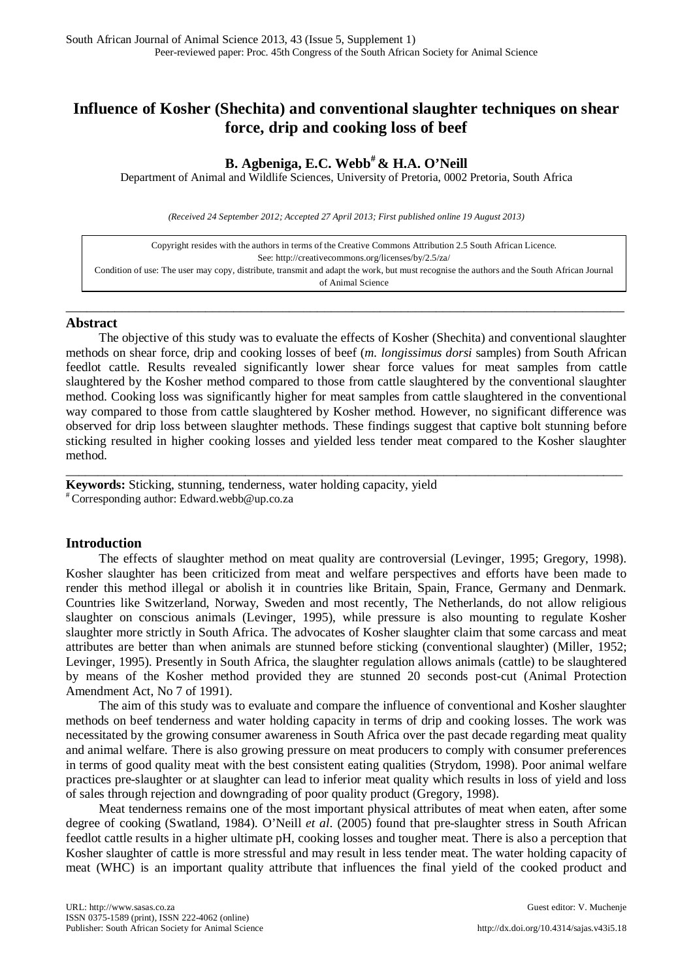# **Influence of Kosher (Shechita) and conventional slaughter techniques on shear force, drip and cooking loss of beef**

## **B. Agbeniga, E.C. Webb# & H.A. O'Neill**

Department of Animal and Wildlife Sciences, University of Pretoria, 0002 Pretoria, South Africa

*(Received 24 September 2012; Accepted 27 April 2013; First published online 19 August 2013)*

Copyright resides with the authors in terms of the Creative Commons Attribution 2.5 South African Licence. See:<http://creativecommons.org/licenses/by/2.5/za/> Condition of use: The user may copy, distribute, transmit and adapt the work, but must recognise the authors and the South African Journal of Animal Science

\_\_\_\_\_\_\_\_\_\_\_\_\_\_\_\_\_\_\_\_\_\_\_\_\_\_\_\_\_\_\_\_\_\_\_\_\_\_\_\_\_\_\_\_\_\_\_\_\_\_\_\_\_\_\_\_\_\_\_\_\_\_\_\_\_\_\_\_\_\_\_\_\_\_\_\_\_\_\_\_

#### **Abstract**

The objective of this study was to evaluate the effects of Kosher (Shechita) and conventional slaughter methods on shear force, drip and cooking losses of beef (*m. longissimus dorsi* samples) from South African feedlot cattle. Results revealed significantly lower shear force values for meat samples from cattle slaughtered by the Kosher method compared to those from cattle slaughtered by the conventional slaughter method. Cooking loss was significantly higher for meat samples from cattle slaughtered in the conventional way compared to those from cattle slaughtered by Kosher method. However, no significant difference was observed for drip loss between slaughter methods. These findings suggest that captive bolt stunning before sticking resulted in higher cooking losses and yielded less tender meat compared to the Kosher slaughter method.

\_\_\_\_\_\_\_\_\_\_\_\_\_\_\_\_\_\_\_\_\_\_\_\_\_\_\_\_\_\_\_\_\_\_\_\_\_\_\_\_\_\_\_\_\_\_\_\_\_\_\_\_\_\_\_\_\_\_\_\_\_\_\_\_\_\_\_\_\_\_\_\_\_\_\_\_\_\_\_\_\_\_\_\_\_\_\_

**Keywords:** Sticking, stunning, tenderness, water holding capacity, yield  $*$  Corresponding author: Edward.webb@up.co.za

## **Introduction**

The effects of slaughter method on meat quality are controversial (Levinger, 1995; Gregory, 1998). Kosher slaughter has been criticized from meat and welfare perspectives and efforts have been made to render this method illegal or abolish it in countries like Britain, Spain, France, Germany and Denmark. Countries like Switzerland, Norway, Sweden and most recently, The Netherlands, do not allow religious slaughter on conscious animals (Levinger, 1995), while pressure is also mounting to regulate Kosher slaughter more strictly in South Africa. The advocates of Kosher slaughter claim that some carcass and meat attributes are better than when animals are stunned before sticking (conventional slaughter) (Miller, 1952; Levinger, 1995). Presently in South Africa, the slaughter regulation allows animals (cattle) to be slaughtered by means of the Kosher method provided they are stunned 20 seconds post-cut (Animal Protection Amendment Act, No 7 of 1991).

The aim of this study was to evaluate and compare the influence of conventional and Kosher slaughter methods on beef tenderness and water holding capacity in terms of drip and cooking losses. The work was necessitated by the growing consumer awareness in South Africa over the past decade regarding meat quality and animal welfare. There is also growing pressure on meat producers to comply with consumer preferences in terms of good quality meat with the best consistent eating qualities (Strydom, 1998). Poor animal welfare practices pre-slaughter or at slaughter can lead to inferior meat quality which results in loss of yield and loss of sales through rejection and downgrading of poor quality product (Gregory, 1998).

Meat tenderness remains one of the most important physical attributes of meat when eaten, after some degree of cooking (Swatland, 1984). O'Neill *et al*. (2005) found that pre-slaughter stress in South African feedlot cattle results in a higher ultimate pH, cooking losses and tougher meat. There is also a perception that Kosher slaughter of cattle is more stressful and may result in less tender meat. The water holding capacity of meat (WHC) is an important quality attribute that influences the final yield of the cooked product and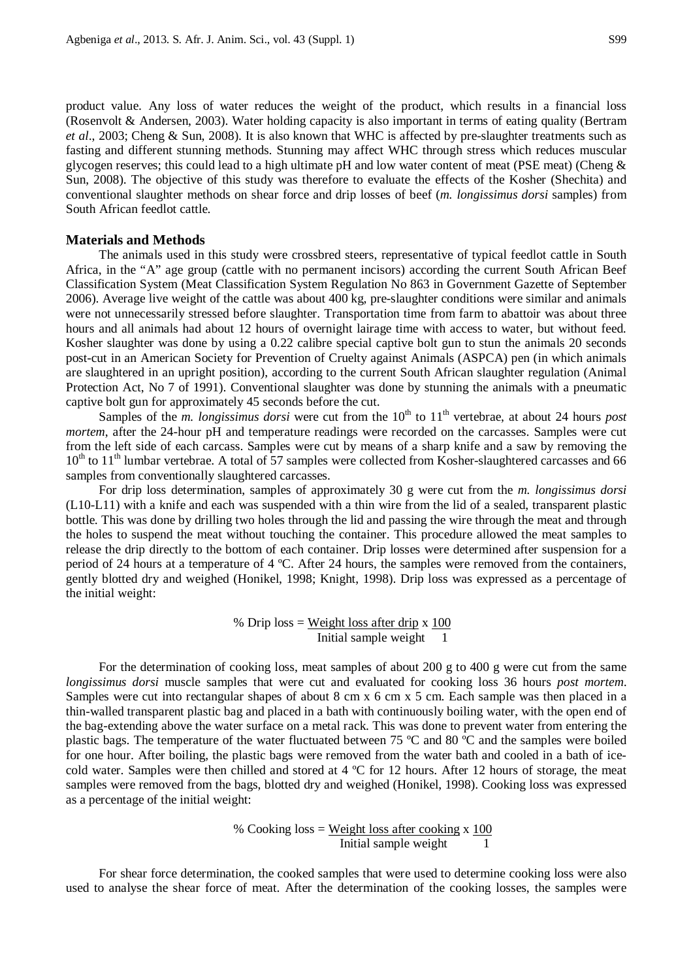product value. Any loss of water reduces the weight of the product, which results in a financial loss (Rosenvolt & Andersen, 2003). Water holding capacity is also important in terms of eating quality (Bertram *et al*., 2003; Cheng & Sun, 2008). It is also known that WHC is affected by pre-slaughter treatments such as fasting and different stunning methods. Stunning may affect WHC through stress which reduces muscular glycogen reserves; this could lead to a high ultimate pH and low water content of meat (PSE meat) (Cheng & Sun, 2008). The objective of this study was therefore to evaluate the effects of the Kosher (Shechita) and conventional slaughter methods on shear force and drip losses of beef (*m. longissimus dorsi* samples) from South African feedlot cattle.

#### **Materials and Methods**

The animals used in this study were crossbred steers, representative of typical feedlot cattle in South Africa, in the "A" age group (cattle with no permanent incisors) according the current South African Beef Classification System (Meat Classification System Regulation No 863 in Government Gazette of September 2006). Average live weight of the cattle was about 400 kg, pre-slaughter conditions were similar and animals were not unnecessarily stressed before slaughter. Transportation time from farm to abattoir was about three hours and all animals had about 12 hours of overnight lairage time with access to water, but without feed. Kosher slaughter was done by using a 0.22 calibre special captive bolt gun to stun the animals 20 seconds post-cut in an American Society for Prevention of Cruelty against Animals (ASPCA) pen (in which animals are slaughtered in an upright position), according to the current South African slaughter regulation (Animal Protection Act, No 7 of 1991). Conventional slaughter was done by stunning the animals with a pneumatic captive bolt gun for approximately 45 seconds before the cut.

Samples of the *m. longissimus dorsi* were cut from the 10<sup>th</sup> to 11<sup>th</sup> vertebrae, at about 24 hours *post mortem*, after the 24-hour pH and temperature readings were recorded on the carcasses. Samples were cut from the left side of each carcass. Samples were cut by means of a sharp knife and a saw by removing the  $10<sup>th</sup>$  to  $11<sup>th</sup>$  lumbar vertebrae. A total of 57 samples were collected from Kosher-slaughtered carcasses and 66 samples from conventionally slaughtered carcasses.

For drip loss determination, samples of approximately 30 g were cut from the *m. longissimus dorsi* (L10-L11) with a knife and each was suspended with a thin wire from the lid of a sealed, transparent plastic bottle. This was done by drilling two holes through the lid and passing the wire through the meat and through the holes to suspend the meat without touching the container. This procedure allowed the meat samples to release the drip directly to the bottom of each container. Drip losses were determined after suspension for a period of 24 hours at a temperature of 4 ºC. After 24 hours, the samples were removed from the containers, gently blotted dry and weighed (Honikel, 1998; Knight, 1998). Drip loss was expressed as a percentage of the initial weight:

> % Drip  $loss = Weight loss after drip x 100$ Initial sample weight

For the determination of cooking loss, meat samples of about 200 g to 400 g were cut from the same *longissimus dorsi* muscle samples that were cut and evaluated for cooking loss 36 hours *post mortem*. Samples were cut into rectangular shapes of about 8 cm x 6 cm x 5 cm. Each sample was then placed in a thin-walled transparent plastic bag and placed in a bath with continuously boiling water, with the open end of the bag-extending above the water surface on a metal rack. This was done to prevent water from entering the plastic bags. The temperature of the water fluctuated between 75 ºC and 80 ºC and the samples were boiled for one hour. After boiling, the plastic bags were removed from the water bath and cooled in a bath of icecold water. Samples were then chilled and stored at 4 ºC for 12 hours. After 12 hours of storage, the meat samples were removed from the bags, blotted dry and weighed (Honikel, 1998). Cooking loss was expressed as a percentage of the initial weight:

> % Cooking  $loss = Weight loss$  after cooking x 100 Initial sample weight 1

For shear force determination, the cooked samples that were used to determine cooking loss were also used to analyse the shear force of meat. After the determination of the cooking losses, the samples were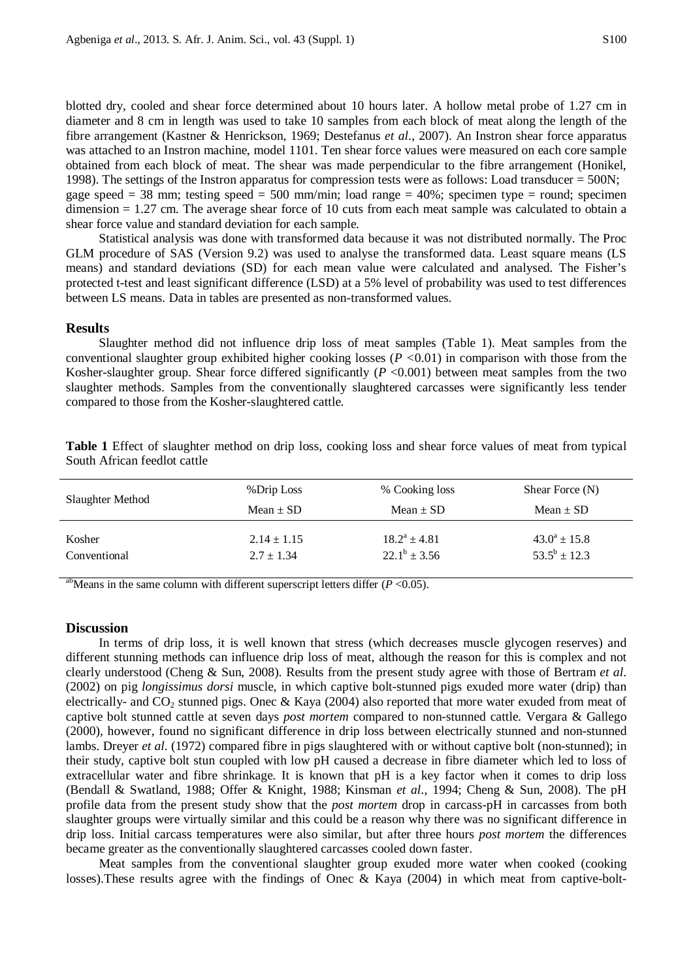blotted dry, cooled and shear force determined about 10 hours later. A hollow metal probe of 1.27 cm in diameter and 8 cm in length was used to take 10 samples from each block of meat along the length of the fibre arrangement (Kastner & Henrickson, 1969; Destefanus *et al*., 2007). An Instron shear force apparatus was attached to an Instron machine, model 1101. Ten shear force values were measured on each core sample obtained from each block of meat. The shear was made perpendicular to the fibre arrangement (Honikel, 1998). The settings of the Instron apparatus for compression tests were as follows: Load transducer  $= 500N$ ; gage speed = 38 mm; testing speed = 500 mm/min; load range = 40%; specimen type = round; specimen dimension = 1.27 cm. The average shear force of 10 cuts from each meat sample was calculated to obtain a shear force value and standard deviation for each sample.

Statistical analysis was done with transformed data because it was not distributed normally. The Proc GLM procedure of SAS (Version 9.2) was used to analyse the transformed data. Least square means (LS means) and standard deviations (SD) for each mean value were calculated and analysed. The Fisher's protected t-test and least significant difference (LSD) at a 5% level of probability was used to test differences between LS means. Data in tables are presented as non-transformed values.

## **Results**

Slaughter method did not influence drip loss of meat samples (Table 1). Meat samples from the conventional slaughter group exhibited higher cooking losses (*P <*0.01) in comparison with those from the Kosher-slaughter group. Shear force differed significantly  $(P \le 0.001)$  between meat samples from the two slaughter methods. Samples from the conventionally slaughtered carcasses were significantly less tender compared to those from the Kosher-slaughtered cattle.

| Slaughter Method | %Drip Loss      | % Cooking loss    | Shear Force $(N)$ |
|------------------|-----------------|-------------------|-------------------|
|                  | Mean $\pm$ SD   | Mean $\pm$ SD     | Mean $\pm$ SD     |
| Kosher           | $2.14 \pm 1.15$ | $18.2^a \pm 4.81$ | $43.0^a \pm 15.8$ |
| Conventional     | $2.7 \pm 1.34$  | $22.1^b \pm 3.56$ | $53.5^b \pm 12.3$ |

**Table 1** Effect of slaughter method on drip loss, cooking loss and shear force values of meat from typical South African feedlot cattle

abMeans in the same column with different superscript letters differ  $(P \le 0.05)$ .

#### **Discussion**

In terms of drip loss, it is well known that stress (which decreases muscle glycogen reserves) and different stunning methods can influence drip loss of meat, although the reason for this is complex and not clearly understood (Cheng & Sun, 2008). Results from the present study agree with those of Bertram *et al*. (2002) on pig *longissimus dorsi* muscle, in which captive bolt-stunned pigs exuded more water (drip) than electrically- and CO<sub>2</sub> stunned pigs. Onec & Kaya (2004) also reported that more water exuded from meat of captive bolt stunned cattle at seven days *post mortem* compared to non-stunned cattle. Vergara & Gallego (2000), however, found no significant difference in drip loss between electrically stunned and non-stunned lambs. Dreyer *et al*. (1972) compared fibre in pigs slaughtered with or without captive bolt (non-stunned); in their study, captive bolt stun coupled with low pH caused a decrease in fibre diameter which led to loss of extracellular water and fibre shrinkage. It is known that pH is a key factor when it comes to drip loss (Bendall & Swatland, 1988; Offer & Knight, 1988; Kinsman *et al*., 1994; Cheng & Sun, 2008). The pH profile data from the present study show that the *post mortem* drop in carcass-pH in carcasses from both slaughter groups were virtually similar and this could be a reason why there was no significant difference in drip loss. Initial carcass temperatures were also similar, but after three hours *post mortem* the differences became greater as the conventionally slaughtered carcasses cooled down faster.

Meat samples from the conventional slaughter group exuded more water when cooked (cooking losses).These results agree with the findings of Onec & Kaya (2004) in which meat from captive-bolt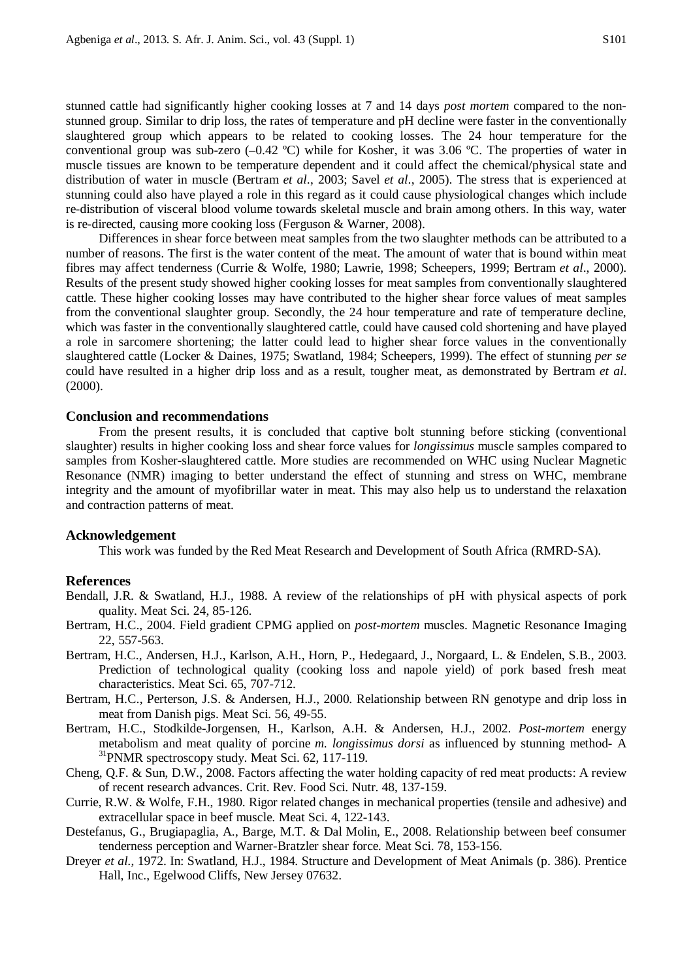stunned cattle had significantly higher cooking losses at 7 and 14 days *post mortem* compared to the nonstunned group. Similar to drip loss, the rates of temperature and pH decline were faster in the conventionally slaughtered group which appears to be related to cooking losses. The 24 hour temperature for the conventional group was sub-zero (–0.42 ºC) while for Kosher, it was 3.06 ºC. The properties of water in muscle tissues are known to be temperature dependent and it could affect the chemical/physical state and distribution of water in muscle (Bertram *et al*., 2003; Savel *et al*., 2005). The stress that is experienced at stunning could also have played a role in this regard as it could cause physiological changes which include re-distribution of visceral blood volume towards skeletal muscle and brain among others. In this way, water is re-directed, causing more cooking loss (Ferguson & Warner, 2008).

Differences in shear force between meat samples from the two slaughter methods can be attributed to a number of reasons. The first is the water content of the meat. The amount of water that is bound within meat fibres may affect tenderness (Currie & Wolfe, 1980; Lawrie, 1998; Scheepers, 1999; Bertram *et al*., 2000). Results of the present study showed higher cooking losses for meat samples from conventionally slaughtered cattle. These higher cooking losses may have contributed to the higher shear force values of meat samples from the conventional slaughter group. Secondly, the 24 hour temperature and rate of temperature decline, which was faster in the conventionally slaughtered cattle, could have caused cold shortening and have played a role in sarcomere shortening; the latter could lead to higher shear force values in the conventionally slaughtered cattle (Locker & Daines, 1975; Swatland, 1984; Scheepers, 1999). The effect of stunning *per se* could have resulted in a higher drip loss and as a result, tougher meat, as demonstrated by Bertram *et al*. (2000).

## **Conclusion and recommendations**

From the present results, it is concluded that captive bolt stunning before sticking (conventional slaughter) results in higher cooking loss and shear force values for *longissimus* muscle samples compared to samples from Kosher-slaughtered cattle. More studies are recommended on WHC using Nuclear Magnetic Resonance (NMR) imaging to better understand the effect of stunning and stress on WHC, membrane integrity and the amount of myofibrillar water in meat. This may also help us to understand the relaxation and contraction patterns of meat.

#### **Acknowledgement**

This work was funded by the Red Meat Research and Development of South Africa (RMRD-SA).

#### **References**

Bendall, J.R. & Swatland, H.J., 1988. A review of the relationships of pH with physical aspects of pork quality. Meat Sci. 24, 85-126.

- Bertram, H.C., 2004. Field gradient CPMG applied on *post-mortem* muscles. Magnetic Resonance Imaging 22, 557-563.
- Bertram, H.C., Andersen, H.J., Karlson, A.H., Horn, P., Hedegaard, J., Norgaard, L. & Endelen, S.B., 2003. Prediction of technological quality (cooking loss and napole yield) of pork based fresh meat characteristics. Meat Sci. 65, 707-712.
- Bertram, H.C., Perterson, J.S. & Andersen, H.J., 2000. Relationship between RN genotype and drip loss in meat from Danish pigs. Meat Sci. 56, 49-55.
- Bertram, H.C., Stodkilde-Jorgensen, H., Karlson, A.H. & Andersen, H.J., 2002. *Post-mortem* energy metabolism and meat quality of porcine *m. longissimus dorsi* as influenced by stunning method- A  $31$ PNMR spectroscopy study. Meat Sci. 62, 117-119.
- Cheng, Q.F. & Sun, D.W., 2008. Factors affecting the water holding capacity of red meat products: A review of recent research advances. Crit. Rev. Food Sci. Nutr. 48, 137-159.
- Currie, R.W. & Wolfe, F.H., 1980. Rigor related changes in mechanical properties (tensile and adhesive) and extracellular space in beef muscle. Meat Sci. 4, 122-143.
- Destefanus, G., Brugiapaglia, A., Barge, M.T. & Dal Molin, E., 2008. Relationship between beef consumer tenderness perception and Warner-Bratzler shear force. Meat Sci. 78, 153-156.
- Dreyer *et al*., 1972. In: Swatland, H.J., 1984. Structure and Development of Meat Animals (p. 386). Prentice Hall, Inc., Egelwood Cliffs, New Jersey 07632.